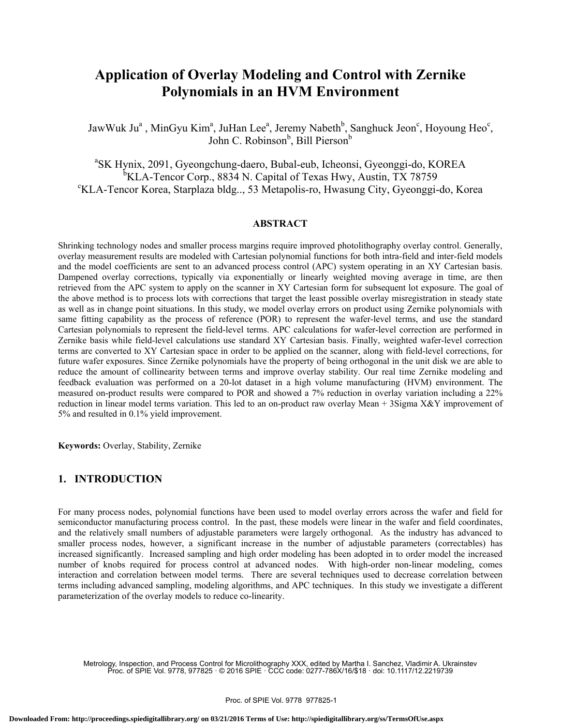# **Application of Overlay Modeling and Control with Zernike Polynomials in an HVM Environment**

JawWuk Ju<sup>a</sup>, MinGyu Kim<sup>a</sup>, JuHan Lee<sup>a</sup>, Jeremy Nabeth<sup>b</sup>, Sanghuck Jeon<sup>c</sup>, Hoyoung Heo<sup>c</sup>, John C. Robinson<sup>b</sup>, Bill Pierson<sup>b</sup>

a SK Hynix, 2091, Gyeongchung-daero, Bubal-eub, Icheonsi, Gyeonggi-do, KOREA <sup>b</sup>KLA-Tencor Corp., 8834 N. Capital of Texas Hwy, Austin, TX 78759  ${}^{\rm c}$ KLA-Tencor Korea, Starplaza bldg.., 53 Metapolis-ro, Hwasung City, Gyeonggi-do, Korea

#### **ABSTRACT**

Shrinking technology nodes and smaller process margins require improved photolithography overlay control. Generally, overlay measurement results are modeled with Cartesian polynomial functions for both intra-field and inter-field models and the model coefficients are sent to an advanced process control (APC) system operating in an XY Cartesian basis. Dampened overlay corrections, typically via exponentially or linearly weighted moving average in time, are then retrieved from the APC system to apply on the scanner in XY Cartesian form for subsequent lot exposure. The goal of the above method is to process lots with corrections that target the least possible overlay misregistration in steady state as well as in change point situations. In this study, we model overlay errors on product using Zernike polynomials with same fitting capability as the process of reference (POR) to represent the wafer-level terms, and use the standard Cartesian polynomials to represent the field-level terms. APC calculations for wafer-level correction are performed in Zernike basis while field-level calculations use standard XY Cartesian basis. Finally, weighted wafer-level correction terms are converted to XY Cartesian space in order to be applied on the scanner, along with field-level corrections, for future wafer exposures. Since Zernike polynomials have the property of being orthogonal in the unit disk we are able to reduce the amount of collinearity between terms and improve overlay stability. Our real time Zernike modeling and feedback evaluation was performed on a 20-lot dataset in a high volume manufacturing (HVM) environment. The measured on-product results were compared to POR and showed a 7% reduction in overlay variation including a 22% reduction in linear model terms variation. This led to an on-product raw overlay Mean + 3Sigma X&Y improvement of 5% and resulted in 0.1% yield improvement.

**Keywords:** Overlay, Stability, Zernike

### **1. INTRODUCTION**

For many process nodes, polynomial functions have been used to model overlay errors across the wafer and field for semiconductor manufacturing process control. In the past, these models were linear in the wafer and field coordinates, and the relatively small numbers of adjustable parameters were largely orthogonal. As the industry has advanced to smaller process nodes, however, a significant increase in the number of adjustable parameters (correctables) has increased significantly. Increased sampling and high order modeling has been adopted in to order model the increased number of knobs required for process control at advanced nodes. With high-order non-linear modeling, comes interaction and correlation between model terms. There are several techniques used to decrease correlation between terms including advanced sampling, modeling algorithms, and APC techniques. In this study we investigate a different parameterization of the overlay models to reduce co-linearity.

Metrology, Inspection, and Process Control for Microlithography XXX, edited by Martha I. Sanchez, Vladimir A. Ukrainstev Proc. of SPIE Vol. 9778, 977825 · © 2016 SPIE · CCC code: 0277-786X/16/\$18 · doi: 10.1117/12.2219739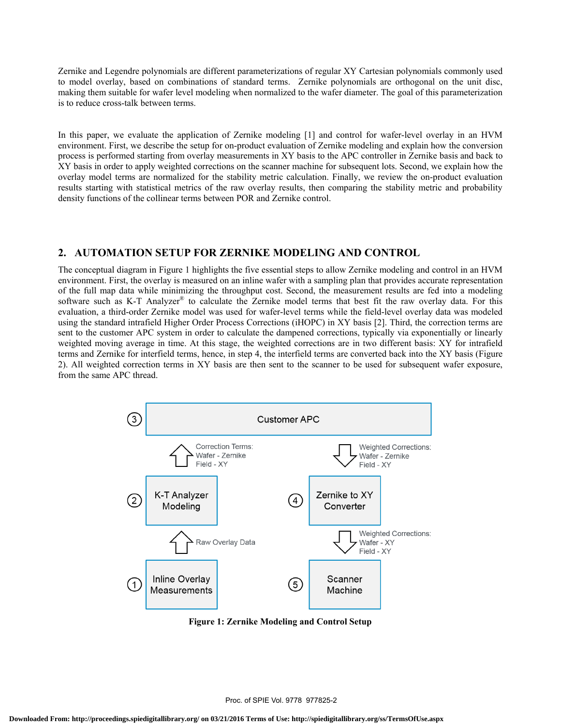Zernike and Legendre polynomials are different parameterizations of regular XY Cartesian polynomials commonly used to model overlay, based on combinations of standard terms. Zernike polynomials are orthogonal on the unit disc, making them suitable for wafer level modeling when normalized to the wafer diameter. The goal of this parameterization is to reduce cross-talk between terms.

In this paper, we evaluate the application of Zernike modeling [1] and control for wafer-level overlay in an HVM environment. First, we describe the setup for on-product evaluation of Zernike modeling and explain how the conversion process is performed starting from overlay measurements in XY basis to the APC controller in Zernike basis and back to XY basis in order to apply weighted corrections on the scanner machine for subsequent lots. Second, we explain how the overlay model terms are normalized for the stability metric calculation. Finally, we review the on-product evaluation results starting with statistical metrics of the raw overlay results, then comparing the stability metric and probability density functions of the collinear terms between POR and Zernike control.

### **2. AUTOMATION SETUP FOR ZERNIKE MODELING AND CONTROL**

The conceptual diagram in Figure 1 highlights the five essential steps to allow Zernike modeling and control in an HVM environment. First, the overlay is measured on an inline wafer with a sampling plan that provides accurate representation of the full map data while minimizing the throughput cost. Second, the measurement results are fed into a modeling software such as K-T Analyzer<sup>®</sup> to calculate the Zernike model terms that best fit the raw overlay data. For this evaluation, a third-order Zernike model was used for wafer-level terms while the field-level overlay data was modeled using the standard intrafield Higher Order Process Corrections (iHOPC) in XY basis [2]. Third, the correction terms are sent to the customer APC system in order to calculate the dampened corrections, typically via exponentially or linearly weighted moving average in time. At this stage, the weighted corrections are in two different basis: XY for intrafield terms and Zernike for interfield terms, hence, in step 4, the interfield terms are converted back into the XY basis (Figure 2). All weighted correction terms in XY basis are then sent to the scanner to be used for subsequent wafer exposure, from the same APC thread.



**Figure 1: Zernike Modeling and Control Setup**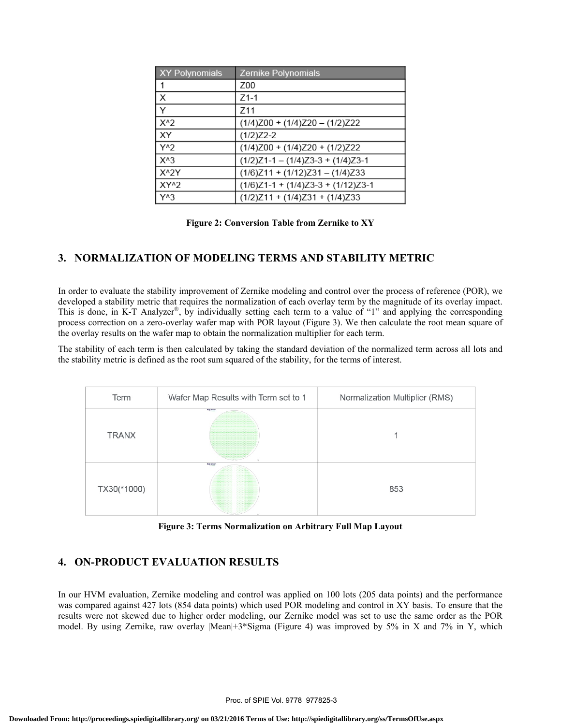| <b>XY Polynomials</b> | Zernike Polynomials                  |
|-----------------------|--------------------------------------|
| 1                     | Z00                                  |
| Х                     | $Z1-1$                               |
| Υ                     | Z11                                  |
| X^2                   | $(1/4)Z00 + (1/4)Z20 - (1/2)Z22$     |
| XY                    | $(1/2)Z2-2$                          |
| Y^2                   | $(1/4)Z00 + (1/4)Z20 + (1/2)Z22$     |
| $X^{\wedge}3$         | $(1/2)Z1-1 - (1/4)Z3-3 + (1/4)Z3-1$  |
| $X^{\wedge}2Y$        | $(1/6)Z11 + (1/12)Z31 - (1/4)Z33$    |
| XY^2                  | $(1/6)Z1-1 + (1/4)Z3-3 + (1/12)Z3-1$ |
| Y^3                   | $(1/2)Z11 + (1/4)Z31 + (1/4)Z33$     |

**Figure 2: Conversion Table from Zernike to XY** 

# **3. NORMALIZATION OF MODELING TERMS AND STABILITY METRIC**

In order to evaluate the stability improvement of Zernike modeling and control over the process of reference (POR), we developed a stability metric that requires the normalization of each overlay term by the magnitude of its overlay impact. This is done, in K-T Analyzer®, by individually setting each term to a value of "1" and applying the corresponding process correction on a zero-overlay wafer map with POR layout (Figure 3). We then calculate the root mean square of the overlay results on the wafer map to obtain the normalization multiplier for each term.

The stability of each term is then calculated by taking the standard deviation of the normalized term across all lots and the stability metric is defined as the root sum squared of the stability, for the terms of interest.

| Term         | Wafer Map Results with Term set to 1                                                                                                                                                                                                                                                                                                                                                                                                                           | Normalization Multiplier (RMS) |
|--------------|----------------------------------------------------------------------------------------------------------------------------------------------------------------------------------------------------------------------------------------------------------------------------------------------------------------------------------------------------------------------------------------------------------------------------------------------------------------|--------------------------------|
| <b>TRANX</b> | <b>Kid</b> Senow<br>-------------------------------<br>--------------------------------<br><br><b>*****************************</b> *<br>,,,,,,,,,,,,,,,,,,,,,,,,,,,<br><b>******************</b><br>$\sim$                                                                                                                                                                                                                                                    |                                |
| TX30(*1000)  | <b>Kill Jenny</b><br>----------<br><b>A 1 1 1 1 1 8 m m</b><br>000000000<br><b><i><u>AMARES AND A</u></i></b><br><b><i><u>Production</u></i></b><br>and the same of the same<br>---------------<br><b>COLLEGE AND RESIDENCE</b><br><b>CONTRACTOR</b><br><b>CALL &amp; A CHAINMAN COMPANY</b><br><b>Committee Committee Committee</b><br><b>Experience</b><br>-----------<br><b>************</b> ************<br><b><i>CALL CALL CALL</i></b><br><b>SERVICE</b> | 853                            |

**Figure 3: Terms Normalization on Arbitrary Full Map Layout** 

# **4. ON-PRODUCT EVALUATION RESULTS**

In our HVM evaluation, Zernike modeling and control was applied on 100 lots (205 data points) and the performance was compared against 427 lots (854 data points) which used POR modeling and control in XY basis. To ensure that the results were not skewed due to higher order modeling, our Zernike model was set to use the same order as the POR model. By using Zernike, raw overlay |Mean|+3\*Sigma (Figure 4) was improved by 5% in X and 7% in Y, which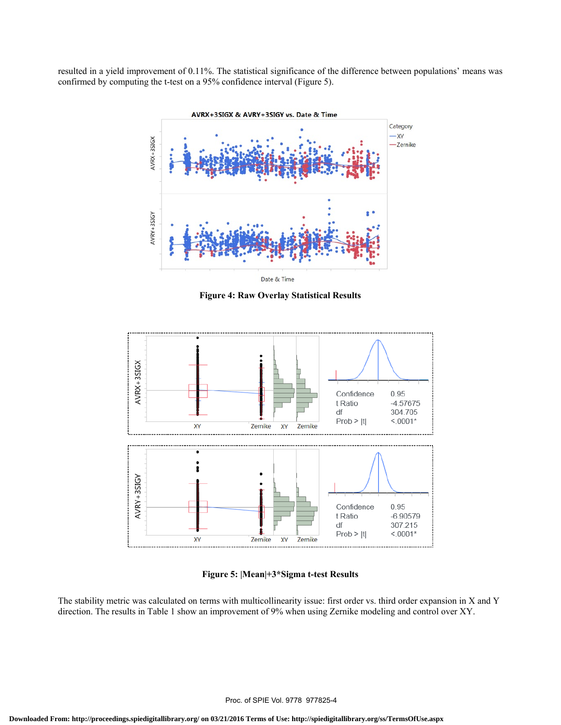resulted in a yield improvement of 0.11%. The statistical significance of the difference between populations' means was confirmed by computing the t-test on a 95% confidence interval (Figure 5).



**Figure 4: Raw Overlay Statistical Results** 



**Figure 5: |Mean|+3\*Sigma t-test Results** 

The stability metric was calculated on terms with multicollinearity issue: first order vs. third order expansion in X and Y direction. The results in Table 1 show an improvement of 9% when using Zernike modeling and control over XY.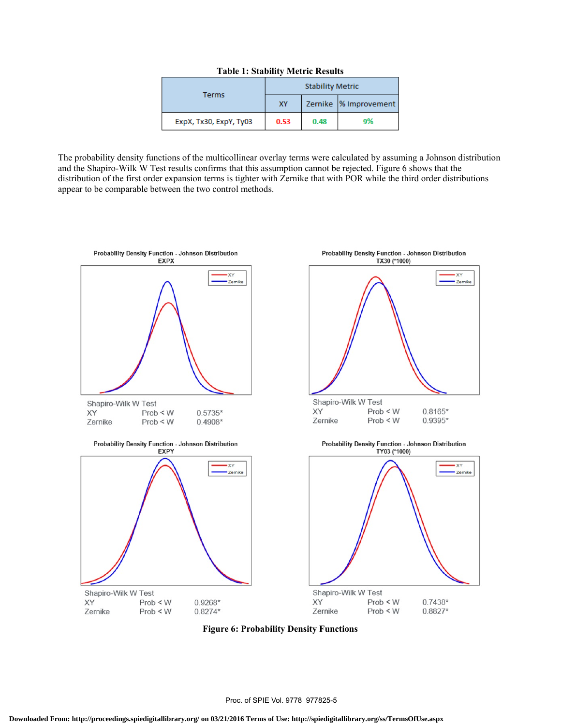| <b>Table 1: Stability Metric Results</b> |  |
|------------------------------------------|--|
|                                          |  |

| Terms                  | <b>Stability Metric</b> |      |                        |
|------------------------|-------------------------|------|------------------------|
|                        | XY                      |      | Zernike  % Improvement |
| ExpX, Tx30, ExpY, Ty03 | 0.53                    | 0.48 | 9%                     |

The probability density functions of the multicollinear overlay terms were calculated by assuming a Johnson distribution and the Shapiro-Wilk W Test results confirms that this assumption cannot be rejected. Figure 6 shows that the distribution of the first order expansion terms is tighter with Zernike that with POR while the third order distributions appear to be comparable between the two control methods.



**Figure 6: Probability Density Functions**